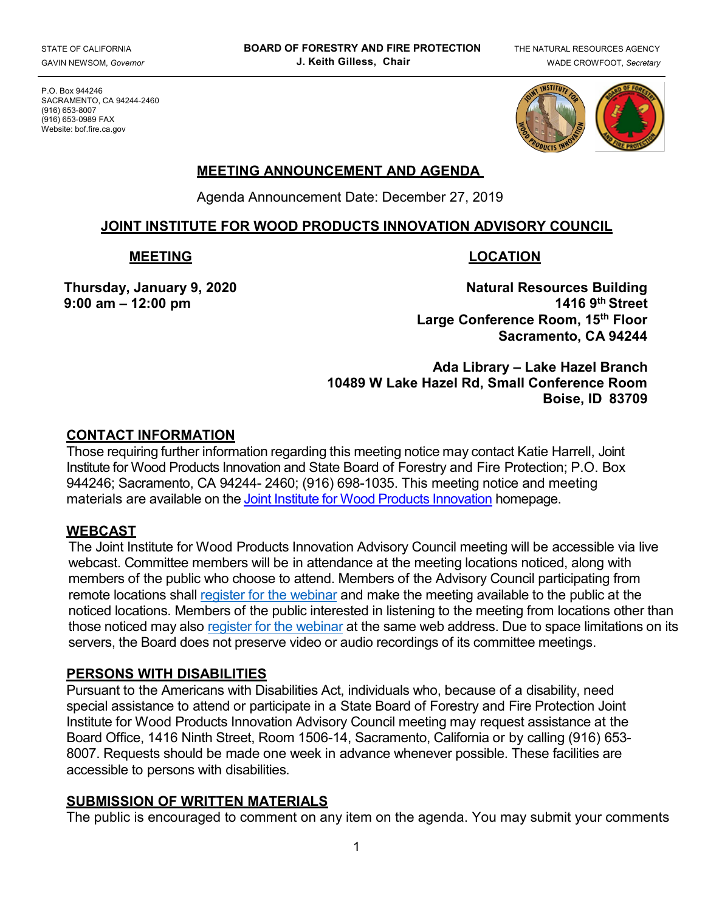P.O. Box 944246 SACRAMENTO, CA 94244-2460 (916) 653-8007 (916) 653-0989 FAX Website: bof.fire.ca.gov



# **MEETING ANNOUNCEMENT AND AGENDA**

Agenda Announcement Date: December 27, 2019

### **JOINT INSTITUTE FOR WOOD PRODUCTS INNOVATION ADVISORY COUNCIL**

#### **MEETING LOCATION**

9:00 am - 12:00 pm

Thursday, January 9, 2020 **Natural Resources Building**<br>1416 9th Street 12:00 pm **Large Conference Room, 15th Floor Sacramento, CA 94244** 

> **Ada Library – Lake Hazel Branch 10489 W Lake Hazel Rd, Small Conference Room Boise, ID 83709**

#### **CONTACT INFORMATION**

 Those requiring further information regarding this meeting notice may contact Katie Harrell, Joint materials are available on the <u>Joint Institute for Wood Products Innovation</u> homepage. Institute for Wood Products Innovation and State Board of Forestry and Fire Protection; P.O. Box 944246; Sacramento, CA 94244- 2460; (916) 698-1035. This meeting notice and meeting

## **WEBCAST**

 The Joint Institute for Wood Products Innovation Advisory Council meeting will be accessible via live remote locations shall <u>register for the webinar</u> and make the meeting available to the public at the noticed locations. Members of the public interested in listening to the meeting from locations other than those noticed may also <u>register for the webinar</u> at the same web address. Due to space limitations on its servers, the Board does not preserve video or audio recordings of its committee meetings. webcast. Committee members will be in attendance at the meeting locations noticed, along with members of the public who choose to attend. Members of the Advisory Council participating from

#### **PERSONS WITH DISABILITIES**

 Pursuant to the Americans with Disabilities Act, individuals who, because of a disability, need special assistance to attend or participate in a State Board of Forestry and Fire Protection Joint Institute for Wood Products Innovation Advisory Council meeting may request assistance at the Board Office, 1416 Ninth Street, Room 1506-14, Sacramento, California or by calling (916) 653- 8007. Requests should be made one week in advance whenever possible. These facilities are accessible to persons with disabilities.

## **SUBMISSION OF WRITTEN MATERIALS**

The public is encouraged to comment on any item on the agenda. You may submit your comments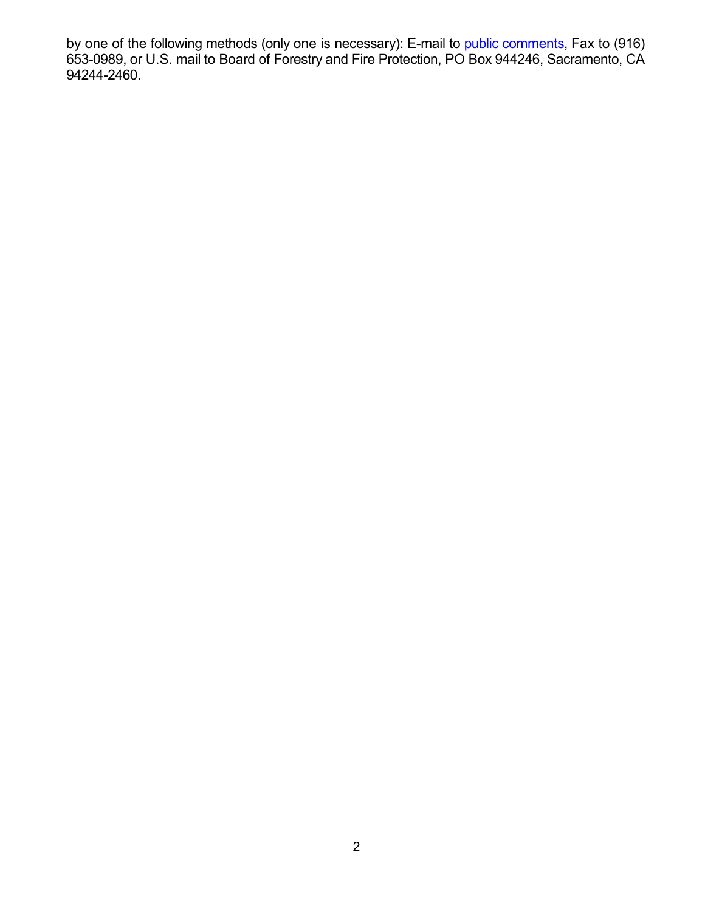by one of the following methods (only one is necessary): E-mail to <u>public comments</u>, Fax to (916) 653-0989, or U.S. mail to Board of Forestry and Fire Protection, PO Box 944246, Sacramento, CA 94244-2460.